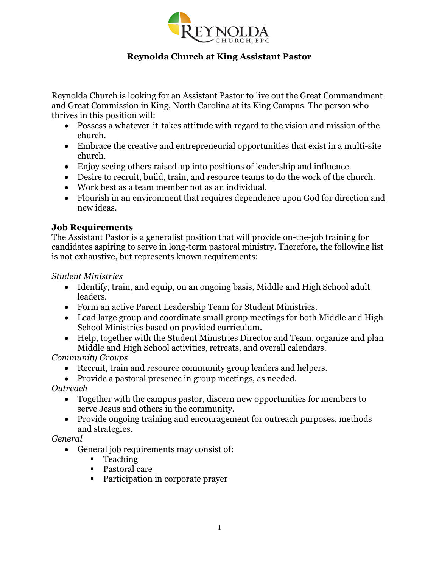

# **Reynolda Church at King Assistant Pastor**

Reynolda Church is looking for an Assistant Pastor to live out the Great Commandment and Great Commission in King, North Carolina at its King Campus. The person who thrives in this position will:

- Possess a whatever-it-takes attitude with regard to the vision and mission of the church.
- Embrace the creative and entrepreneurial opportunities that exist in a multi-site church.
- Enjoy seeing others raised-up into positions of leadership and influence.
- Desire to recruit, build, train, and resource teams to do the work of the church.
- Work best as a team member not as an individual.
- Flourish in an environment that requires dependence upon God for direction and new ideas.

## **Job Requirements**

The Assistant Pastor is a generalist position that will provide on-the-job training for candidates aspiring to serve in long-term pastoral ministry. Therefore, the following list is not exhaustive, but represents known requirements:

*Student Ministries*

- Identify, train, and equip, on an ongoing basis, Middle and High School adult leaders.
- Form an active Parent Leadership Team for Student Ministries.
- Lead large group and coordinate small group meetings for both Middle and High School Ministries based on provided curriculum.
- Help, together with the Student Ministries Director and Team, organize and plan Middle and High School activities, retreats, and overall calendars.

*Community Groups*

- Recruit, train and resource community group leaders and helpers.
- Provide a pastoral presence in group meetings, as needed.

*Outreach*

- Together with the campus pastor, discern new opportunities for members to serve Jesus and others in the community.
- Provide ongoing training and encouragement for outreach purposes, methods and strategies.

*General*

- General job requirements may consist of:
	- Teaching
	- Pastoral care
	- Participation in corporate prayer